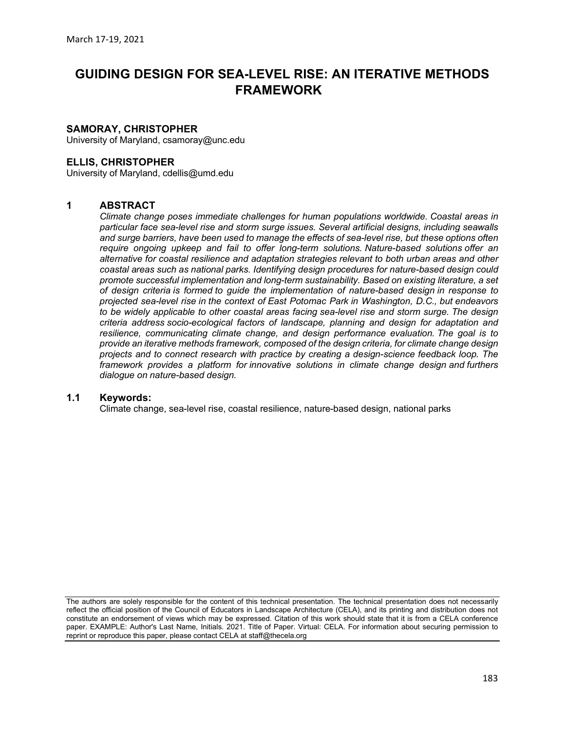# GUIDING DESIGN FOR SEA-LEVEL RISE: AN ITERATIVE METHODS FRAMEWORK

## SAMORAY, CHRISTOPHER

University of Maryland, csamoray@unc.edu

## ELLIS, CHRISTOPHER

University of Maryland, cdellis@umd.edu

## 1 ABSTRACT

Climate change poses immediate challenges for human populations worldwide. Coastal areas in particular face sea-level rise and storm surge issues. Several artificial designs, including seawalls and surge barriers, have been used to manage the effects of sea-level rise, but these options often require ongoing upkeep and fail to offer long-term solutions. Nature-based solutions offer an alternative for coastal resilience and adaptation strategies relevant to both urban areas and other coastal areas such as national parks. Identifying design procedures for nature-based design could promote successful implementation and long-term sustainability. Based on existing literature, a set of design criteria is formed to guide the implementation of nature-based design in response to projected sea-level rise in the context of East Potomac Park in Washington, D.C., but endeavors to be widely applicable to other coastal areas facing sea-level rise and storm surge. The design criteria address socio-ecological factors of landscape, planning and design for adaptation and resilience, communicating climate change, and design performance evaluation. The goal is to provide an iterative methods framework, composed of the design criteria, for climate change design projects and to connect research with practice by creating a design-science feedback loop. The framework provides a platform for innovative solutions in climate change design and furthers dialogue on nature-based design.

#### 1.1 Keywords:

Climate change, sea-level rise, coastal resilience, nature-based design, national parks

The authors are solely responsible for the content of this technical presentation. The technical presentation does not necessarily reflect the official position of the Council of Educators in Landscape Architecture (CELA), and its printing and distribution does not constitute an endorsement of views which may be expressed. Citation of this work should state that it is from a CELA conference paper. EXAMPLE: Author's Last Name, Initials. 2021. Title of Paper. Virtual: CELA. For information about securing permission to reprint or reproduce this paper, please contact CELA at staff@thecela.org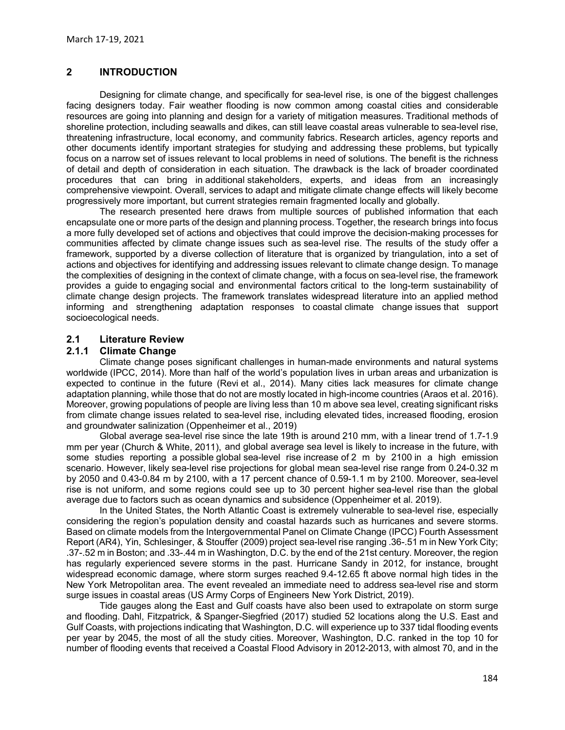## 2 INTRODUCTION

Designing for climate change, and specifically for sea-level rise, is one of the biggest challenges facing designers today. Fair weather flooding is now common among coastal cities and considerable resources are going into planning and design for a variety of mitigation measures. Traditional methods of shoreline protection, including seawalls and dikes, can still leave coastal areas vulnerable to sea-level rise, threatening infrastructure, local economy, and community fabrics. Research articles, agency reports and other documents identify important strategies for studying and addressing these problems, but typically focus on a narrow set of issues relevant to local problems in need of solutions. The benefit is the richness of detail and depth of consideration in each situation. The drawback is the lack of broader coordinated procedures that can bring in additional stakeholders, experts, and ideas from an increasingly comprehensive viewpoint. Overall, services to adapt and mitigate climate change effects will likely become progressively more important, but current strategies remain fragmented locally and globally.

The research presented here draws from multiple sources of published information that each encapsulate one or more parts of the design and planning process. Together, the research brings into focus a more fully developed set of actions and objectives that could improve the decision-making processes for communities affected by climate change issues such as sea-level rise. The results of the study offer a framework, supported by a diverse collection of literature that is organized by triangulation, into a set of actions and objectives for identifying and addressing issues relevant to climate change design. To manage the complexities of designing in the context of climate change, with a focus on sea-level rise, the framework provides a guide to engaging social and environmental factors critical to the long-term sustainability of climate change design projects. The framework translates widespread literature into an applied method informing and strengthening adaptation responses to coastal climate change issues that support socioecological needs.

## 2.1 Literature Review

## 2.1.1 Climate Change

Climate change poses significant challenges in human-made environments and natural systems worldwide (IPCC, 2014). More than half of the world's population lives in urban areas and urbanization is expected to continue in the future (Revi et al., 2014). Many cities lack measures for climate change adaptation planning, while those that do not are mostly located in high-income countries (Araos et al. 2016). Moreover, growing populations of people are living less than 10 m above sea level, creating significant risks from climate change issues related to sea-level rise, including elevated tides, increased flooding, erosion and groundwater salinization (Oppenheimer et al., 2019)

Global average sea-level rise since the late 19th is around 210 mm, with a linear trend of 1.7-1.9 mm per year (Church & White, 2011), and global average sea level is likely to increase in the future, with some studies reporting a possible global sea-level rise increase of 2 m by 2100 in a high emission scenario. However, likely sea-level rise projections for global mean sea-level rise range from 0.24-0.32 m by 2050 and 0.43-0.84 m by 2100, with a 17 percent chance of 0.59-1.1 m by 2100. Moreover, sea-level rise is not uniform, and some regions could see up to 30 percent higher sea-level rise than the global average due to factors such as ocean dynamics and subsidence (Oppenheimer et al. 2019).

In the United States, the North Atlantic Coast is extremely vulnerable to sea-level rise, especially considering the region's population density and coastal hazards such as hurricanes and severe storms. Based on climate models from the Intergovernmental Panel on Climate Change (IPCC) Fourth Assessment Report (AR4), Yin, Schlesinger, & Stouffer (2009) project sea-level rise ranging .36-.51 m in New York City; .37-.52 m in Boston; and .33-.44 m in Washington, D.C. by the end of the 21st century. Moreover, the region has regularly experienced severe storms in the past. Hurricane Sandy in 2012, for instance, brought widespread economic damage, where storm surges reached 9.4-12.65 ft above normal high tides in the New York Metropolitan area. The event revealed an immediate need to address sea-level rise and storm surge issues in coastal areas (US Army Corps of Engineers New York District, 2019).

Tide gauges along the East and Gulf coasts have also been used to extrapolate on storm surge and flooding. Dahl, Fitzpatrick, & Spanger-Siegfried (2017) studied 52 locations along the U.S. East and Gulf Coasts, with projections indicating that Washington, D.C. will experience up to 337 tidal flooding events per year by 2045, the most of all the study cities. Moreover, Washington, D.C. ranked in the top 10 for number of flooding events that received a Coastal Flood Advisory in 2012-2013, with almost 70, and in the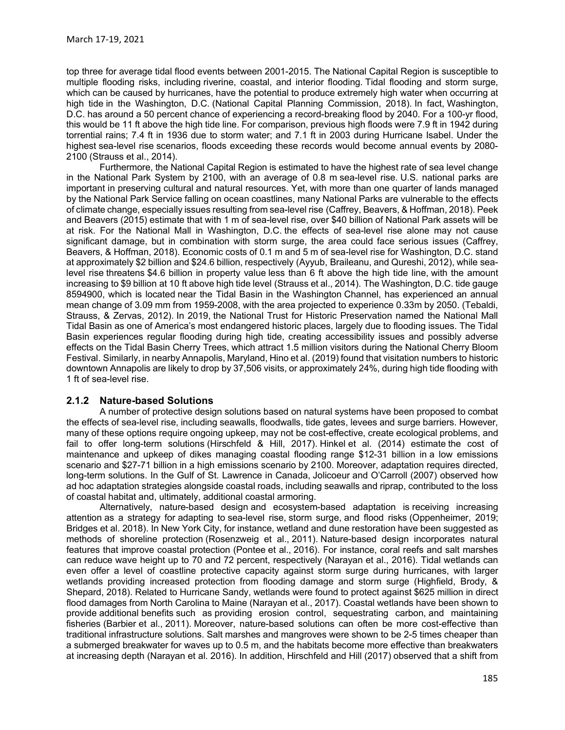top three for average tidal flood events between 2001-2015. The National Capital Region is susceptible to multiple flooding risks, including riverine, coastal, and interior flooding. Tidal flooding and storm surge, which can be caused by hurricanes, have the potential to produce extremely high water when occurring at high tide in the Washington, D.C. (National Capital Planning Commission, 2018). In fact, Washington, D.C. has around a 50 percent chance of experiencing a record-breaking flood by 2040. For a 100-yr flood, this would be 11 ft above the high tide line. For comparison, previous high floods were 7.9 ft in 1942 during torrential rains; 7.4 ft in 1936 due to storm water; and 7.1 ft in 2003 during Hurricane Isabel. Under the highest sea-level rise scenarios, floods exceeding these records would become annual events by 2080- 2100 (Strauss et al., 2014).

Furthermore, the National Capital Region is estimated to have the highest rate of sea level change in the National Park System by 2100, with an average of 0.8 m sea-level rise. U.S. national parks are important in preserving cultural and natural resources. Yet, with more than one quarter of lands managed by the National Park Service falling on ocean coastlines, many National Parks are vulnerable to the effects of climate change, especially issues resulting from sea-level rise (Caffrey, Beavers, & Hoffman, 2018). Peek and Beavers (2015) estimate that with 1 m of sea-level rise, over \$40 billion of National Park assets will be at risk. For the National Mall in Washington, D.C. the effects of sea-level rise alone may not cause significant damage, but in combination with storm surge, the area could face serious issues (Caffrey, Beavers, & Hoffman, 2018). Economic costs of 0.1 m and 5 m of sea-level rise for Washington, D.C. stand at approximately \$2 billion and \$24.6 billion, respectively (Ayyub, Braileanu, and Qureshi, 2012), while sealevel rise threatens \$4.6 billion in property value less than 6 ft above the high tide line, with the amount increasing to \$9 billion at 10 ft above high tide level (Strauss et al., 2014). The Washington, D.C. tide gauge 8594900, which is located near the Tidal Basin in the Washington Channel, has experienced an annual mean change of 3.09 mm from 1959-2008, with the area projected to experience 0.33m by 2050. (Tebaldi, Strauss, & Zervas, 2012). In 2019, the National Trust for Historic Preservation named the National Mall Tidal Basin as one of America's most endangered historic places, largely due to flooding issues. The Tidal Basin experiences regular flooding during high tide, creating accessibility issues and possibly adverse effects on the Tidal Basin Cherry Trees, which attract 1.5 million visitors during the National Cherry Bloom Festival. Similarly, in nearby Annapolis, Maryland, Hino et al. (2019) found that visitation numbers to historic downtown Annapolis are likely to drop by 37,506 visits, or approximately 24%, during high tide flooding with 1 ft of sea-level rise.

#### 2.1.2 Nature-based Solutions

A number of protective design solutions based on natural systems have been proposed to combat the effects of sea-level rise, including seawalls, floodwalls, tide gates, levees and surge barriers. However, many of these options require ongoing upkeep, may not be cost-effective, create ecological problems, and fail to offer long-term solutions (Hirschfeld & Hill, 2017). Hinkel et al. (2014) estimate the cost of maintenance and upkeep of dikes managing coastal flooding range \$12-31 billion in a low emissions scenario and \$27-71 billion in a high emissions scenario by 2100. Moreover, adaptation requires directed, long-term solutions. In the Gulf of St. Lawrence in Canada, Jolicoeur and O'Carroll (2007) observed how ad hoc adaptation strategies alongside coastal roads, including seawalls and riprap, contributed to the loss of coastal habitat and, ultimately, additional coastal armoring.

Alternatively, nature-based design and ecosystem-based adaptation is receiving increasing attention as a strategy for adapting to sea-level rise, storm surge, and flood risks (Oppenheimer, 2019; Bridges et al. 2018). In New York City, for instance, wetland and dune restoration have been suggested as methods of shoreline protection (Rosenzweig et al., 2011). Nature-based design incorporates natural features that improve coastal protection (Pontee et al., 2016). For instance, coral reefs and salt marshes can reduce wave height up to 70 and 72 percent, respectively (Narayan et al., 2016). Tidal wetlands can even offer a level of coastline protective capacity against storm surge during hurricanes, with larger wetlands providing increased protection from flooding damage and storm surge (Highfield, Brody, & Shepard, 2018). Related to Hurricane Sandy, wetlands were found to protect against \$625 million in direct flood damages from North Carolina to Maine (Narayan et al., 2017). Coastal wetlands have been shown to provide additional benefits such as providing erosion control, sequestrating carbon, and maintaining fisheries (Barbier et al., 2011). Moreover, nature-based solutions can often be more cost-effective than traditional infrastructure solutions. Salt marshes and mangroves were shown to be 2-5 times cheaper than a submerged breakwater for waves up to 0.5 m, and the habitats become more effective than breakwaters at increasing depth (Narayan et al. 2016). In addition, Hirschfeld and Hill (2017) observed that a shift from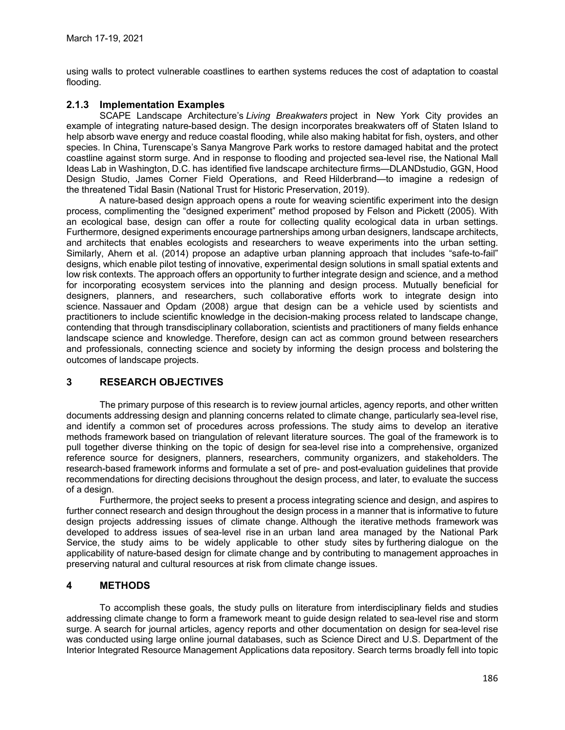using walls to protect vulnerable coastlines to earthen systems reduces the cost of adaptation to coastal flooding.

## 2.1.3 Implementation Examples

SCAPE Landscape Architecture's Living Breakwaters project in New York City provides an example of integrating nature-based design. The design incorporates breakwaters off of Staten Island to help absorb wave energy and reduce coastal flooding, while also making habitat for fish, oysters, and other species. In China, Turenscape's Sanya Mangrove Park works to restore damaged habitat and the protect coastline against storm surge. And in response to flooding and projected sea-level rise, the National Mall Ideas Lab in Washington, D.C. has identified five landscape architecture firms—DLANDstudio, GGN, Hood Design Studio, James Corner Field Operations, and Reed Hilderbrand—to imagine a redesign of the threatened Tidal Basin (National Trust for Historic Preservation, 2019).

A nature-based design approach opens a route for weaving scientific experiment into the design process, complimenting the "designed experiment" method proposed by Felson and Pickett (2005). With an ecological base, design can offer a route for collecting quality ecological data in urban settings. Furthermore, designed experiments encourage partnerships among urban designers, landscape architects, and architects that enables ecologists and researchers to weave experiments into the urban setting. Similarly, Ahern et al. (2014) propose an adaptive urban planning approach that includes "safe-to-fail" designs, which enable pilot testing of innovative, experimental design solutions in small spatial extents and low risk contexts. The approach offers an opportunity to further integrate design and science, and a method for incorporating ecosystem services into the planning and design process. Mutually beneficial for designers, planners, and researchers, such collaborative efforts work to integrate design into science. Nassauer and Opdam (2008) argue that design can be a vehicle used by scientists and practitioners to include scientific knowledge in the decision-making process related to landscape change, contending that through transdisciplinary collaboration, scientists and practitioners of many fields enhance landscape science and knowledge. Therefore, design can act as common ground between researchers and professionals, connecting science and society by informing the design process and bolstering the outcomes of landscape projects.

## 3 RESEARCH OBJECTIVES

The primary purpose of this research is to review journal articles, agency reports, and other written documents addressing design and planning concerns related to climate change, particularly sea-level rise, and identify a common set of procedures across professions. The study aims to develop an iterative methods framework based on triangulation of relevant literature sources. The goal of the framework is to pull together diverse thinking on the topic of design for sea-level rise into a comprehensive, organized reference source for designers, planners, researchers, community organizers, and stakeholders. The research-based framework informs and formulate a set of pre- and post-evaluation guidelines that provide recommendations for directing decisions throughout the design process, and later, to evaluate the success of a design.

Furthermore, the project seeks to present a process integrating science and design, and aspires to further connect research and design throughout the design process in a manner that is informative to future design projects addressing issues of climate change. Although the iterative methods framework was developed to address issues of sea-level rise in an urban land area managed by the National Park Service, the study aims to be widely applicable to other study sites by furthering dialogue on the applicability of nature-based design for climate change and by contributing to management approaches in preserving natural and cultural resources at risk from climate change issues.

## 4 METHODS

To accomplish these goals, the study pulls on literature from interdisciplinary fields and studies addressing climate change to form a framework meant to guide design related to sea-level rise and storm surge. A search for journal articles, agency reports and other documentation on design for sea-level rise was conducted using large online journal databases, such as Science Direct and U.S. Department of the Interior Integrated Resource Management Applications data repository. Search terms broadly fell into topic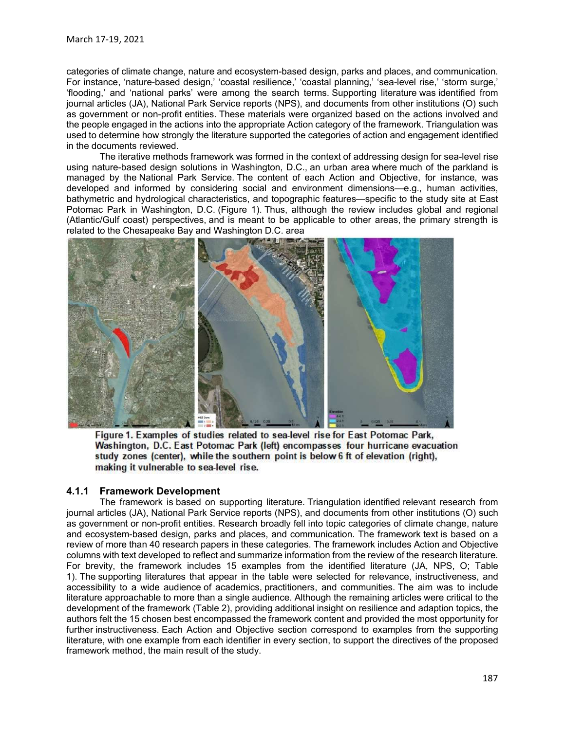categories of climate change, nature and ecosystem-based design, parks and places, and communication. For instance, 'nature-based design,' 'coastal resilience,' 'coastal planning,' 'sea-level rise,' 'storm surge,'<br>'flooding,' and 'national parks' were among the search terms. Supporting literature was identified from March 17-19, 2021<br>
categories of climate change, nature and ecosystem-based design, parks and places, and communication.<br>
For instance, 'nature-based design,' 'coastal resilience,' 'coastal planning,' 'sea-level rise,' 'st March 17-19, 2021<br>categories of climate change, nature and ecosystem-based design, parks and places, and communication.<br>For instance, 'nature-based design,' 'coastal resilience,' 'coastal planning,' 'sea-level rise,' 'stor March 17-19, 2021<br>categories of climate change, nature and ecosystem-based design, parks and places, and communication.<br>For instance, 'nature-based design, 'coosatle resilience,' 'coosatle planning,' 'sea-level rise,' stor March 17-19, 2021<br>
categories of climate change, nature and ecosystem-based design, parks and places, and communication.<br>
For instance, 'nature-based design,' 'coastal resilience,' 'coastal planning,' 'sea-level rise,' 'st used to determine how strongly the literature supported the categories of action and engagement identified in the documents reviewed. March 17-19, 2021<br>categories of climate change, nature and ecosystem-based design, parks and places, and communication.<br>For instance, 'nature-based design,' 'coastal resilience,' 'coastal planning,' 'sea-level rise, 'storm

The iterative methods framework was formed in the context of addressing design for sea-level rise<br>using nature-based design solutions in Washington, D.C., an urban area where much of the parkland is March 17-19, 2021<br>categories of climate change, nature and ecosystem-based design, parks and places, and communication.<br>For instance, inture-based design, 'coastal resilience, 'coastal planning,' 'sea-level rise, ' storm s developed and informed by considering social and environment dimensions—e.g., human activities, bathymetric and hydrological characteristics, and topographic features—specific to the study site at East March 17-19, 2021<br>
categories of climate-based as design, park and places, and communication.<br>
For instance, 'nature-based design, 'coastal resistince; 'coastal planing, 'sea-twell refine<br>
"flooding,' and 'national parks' March 17-19, 2021<br>
categories of climate change, nature and ecosystem-based design, parks and places, and communication.<br>
Fitoching, and "nature-based design,"coastal resillence, "coastal planning, "sea-level rise", "stom March 17-19, 2021<br>
categories of climate change, nature and ecosystem-based design, parks and places, and communication.<br>
For instance, "nature-based design," coastal resilience," coastal planning," sea-tevel rise, "storm



journal articles (JA), National Park Service reports (NPS), and documents from other institutions (O) such as government or non-profit entities. Research broadly fell into topic categories of climate change, nature and ecosystem-based design, parks and places, and communication. The framework text is based on a Figure 1. Examples of studies related to sea-level is effort East Potomac Park, Washington, D.C. East Potomac Park (left) encompasses four hurricane evacuation study zones (center), while the southern point is below 6 ft o For brevity, the framework includes 15 examples from the identified literature (JA, NPS, O; Table 1). The supportion of the supportion of the supportion of the supportion of the supportion of the supportion of the supportion and the supportion of the table were supportion of the table were selected for relevance, the s Figure 1. Examples of studies related to sea-level rise for East Potomac Park, Washington, D.C. East Potomac Park (left) encompasses four hurricane evacuation study zones (center), while the southern point is below 6 ft of literature approachable to more than a single audience. Although the remaining articles were critical to the Framework (Table 2), the framework (Table 2), providing the framework (Table 2), and the framework (Table 2), the framework (Table 2), the framework (Table 2), the framework (Table 2), the framework (Table 2), the framewor authors felt the 15 chosen best encompassed the framework content and provided the most opportunity for Figure 1. Examples of studies related to sea-level for East Potomac Park,<br>Washington, D.C. East Potomac Park (left) encompasses four hurricane evacuation<br>study zones (centre), while the southern point is below 6 ft of elev literature, the memorial of the memorial of the study.<br> **Literature, the memorial of the southern point is below 6 ft of elevation (right), making it vulnerable to sea level rise.**<br> **A.1.1 Framework Development**<br> **A.1.1 Fr** framework method, the main result of the study.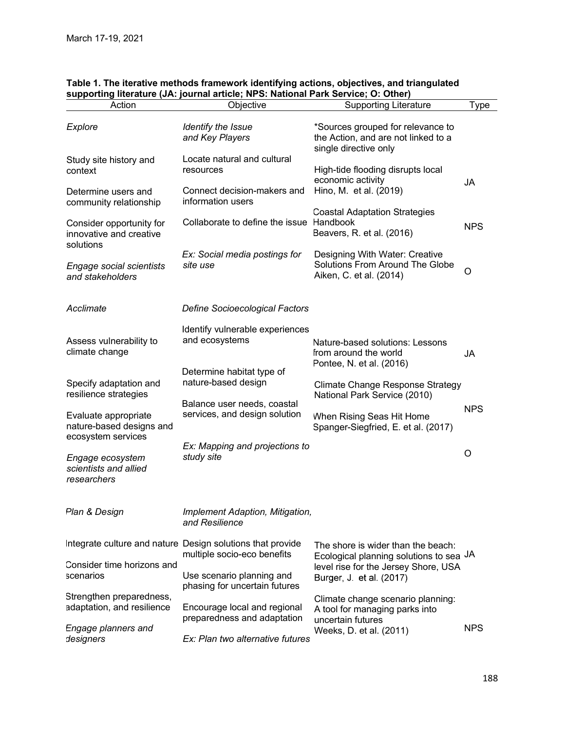| Table 1. The iterative methods framework identifying actions, objectives, and triangulated |                                                                                                |                                                                                                   |            |  |
|--------------------------------------------------------------------------------------------|------------------------------------------------------------------------------------------------|---------------------------------------------------------------------------------------------------|------------|--|
| Action                                                                                     | supporting literature (JA: journal article; NPS: National Park Service; O: Other)<br>Objective | <b>Supporting Literature</b>                                                                      | Type       |  |
|                                                                                            |                                                                                                |                                                                                                   |            |  |
| Explore                                                                                    | Identify the Issue<br>and Key Players                                                          | *Sources grouped for relevance to<br>the Action, and are not linked to a<br>single directive only |            |  |
| Study site history and<br>context                                                          | Locate natural and cultural<br>resources                                                       | High-tide flooding disrupts local<br>economic activity                                            |            |  |
| Determine users and<br>community relationship                                              | Connect decision-makers and<br>information users                                               | Hino, M. et al. (2019)<br><b>Coastal Adaptation Strategies</b>                                    | JA         |  |
| Consider opportunity for<br>innovative and creative<br>solutions                           | Collaborate to define the issue Handbook                                                       | Beavers, R. et al. (2016)                                                                         | <b>NPS</b> |  |
| <b>Engage social scientists</b><br>and stakeholders                                        | Ex: Social media postings for<br>site use                                                      | Designing With Water: Creative<br>Solutions From Around The Globe<br>Aiken, C. et al. (2014)      | $\circ$    |  |
| Acclimate                                                                                  | <b>Define Socioecological Factors</b>                                                          |                                                                                                   |            |  |
|                                                                                            | Identify vulnerable experiences                                                                |                                                                                                   |            |  |
| Assess vulnerability to<br>climate change                                                  | and ecosystems                                                                                 | Nature-based solutions: Lessons<br>from around the world<br>Pontee, N. et al. (2016)              | <b>JA</b>  |  |
| Specify adaptation and<br>resilience strategies                                            | Determine habitat type of<br>nature-based design                                               | <b>Climate Change Response Strategy</b><br>National Park Service (2010)                           |            |  |
| Evaluate appropriate<br>nature-based designs and                                           | Balance user needs, coastal<br>services, and design solution                                   | When Rising Seas Hit Home<br>Spanger-Siegfried, E. et al. (2017)                                  | <b>NPS</b> |  |
| ecosystem services                                                                         |                                                                                                |                                                                                                   |            |  |
| Engage ecosystem<br>scientists and allied<br>researchers                                   | Ex: Mapping and projections to<br>study site                                                   |                                                                                                   | $\circ$    |  |
| Plan & Design                                                                              | Implement Adaption, Mitigation,<br>and Resilience                                              |                                                                                                   |            |  |
|                                                                                            | Integrate culture and nature Design solutions that provide<br>multiple socio-eco benefits      | The shore is wider than the beach:<br>Ecological planning solutions to sea JA                     |            |  |
| Consider time horizons and<br>scenarios                                                    | Use scenario planning and<br>phasing for uncertain futures                                     | level rise for the Jersey Shore, USA<br>Burger, J. et al. (2017)                                  |            |  |
| Strengthen preparedness,<br>adaptation, and resilience                                     | Encourage local and regional<br>preparedness and adaptation                                    | Climate change scenario planning:<br>A tool for managing parks into<br>uncertain futures          |            |  |
| Engage planners and<br>designers                                                           | Ex: Plan two alternative futures                                                               | Weeks, D. et al. (2011)                                                                           | <b>NPS</b> |  |

## Table 1. The iterative methods framework identifying actions, objectives, and triangulated supporting literature (JA: journal article; NPS: National Park Service; O: Other)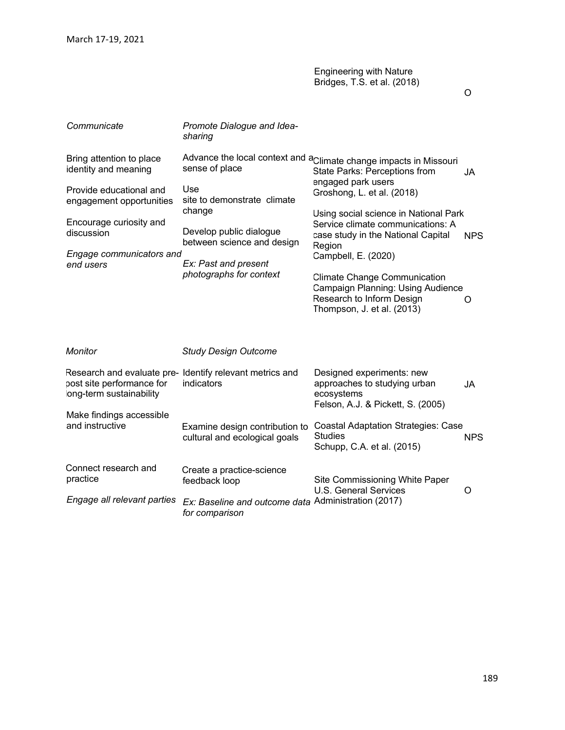| March 17-19, 2021                                     |                                                                        |                                                                                                                                                            |            |
|-------------------------------------------------------|------------------------------------------------------------------------|------------------------------------------------------------------------------------------------------------------------------------------------------------|------------|
|                                                       |                                                                        | <b>Engineering with Nature</b><br>Bridges, T.S. et al. (2018)                                                                                              | O          |
| Communicate                                           | Promote Dialogue and Idea-<br>sharing                                  |                                                                                                                                                            |            |
| Bring attention to place<br>identity and meaning      | sense of place                                                         | Advance the local context and a <sub>Climate change impacts in Missouri</sub><br>State Parks: Perceptions from                                             | JA         |
| Provide educational and<br>engagement opportunities   | Use<br>site to demonstrate climate<br>change                           | engaged park users<br>Groshong, L. et al. (2018)                                                                                                           |            |
| Encourage curiosity and<br>discussion                 | Develop public dialogue<br>between science and design                  | Using social science in National Park<br>Service climate communications: A<br>case study in the National Capital<br>Region                                 | <b>NPS</b> |
| Engage communicators and<br>end users                 | Ex: Past and present<br>photographs for context                        | Campbell, E. (2020)<br><b>Climate Change Communication</b><br>Campaign Planning: Using Audience<br>Research to Inform Design<br>Thompson, J. et al. (2013) | O          |
| Monitor                                               | <b>Study Design Outcome</b>                                            |                                                                                                                                                            |            |
| post site performance for<br>long-term sustainability | Research and evaluate pre- Identify relevant metrics and<br>indicators | Designed experiments: new<br>approaches to studying urban<br>ecosystems<br>Felson, A.J. & Pickett, S. (2005)                                               | JA         |
| Make findings accessible<br>and instructive           | Examine design contribution to<br>cultural and ecological goals        | <b>Coastal Adaptation Strategies: Case</b><br><b>Studies</b><br>Schupp, C.A. et al. (2015)                                                                 | <b>NPS</b> |
| Connect research and<br>practice                      | Create a practice-science<br>feedback loop                             | Site Commissioning White Paper<br><b>U.S. General Services</b>                                                                                             | O          |
| Engage all relevant parties                           | Ex: Baseline and outcome data Administration (2017)<br>for comparison  |                                                                                                                                                            |            |

189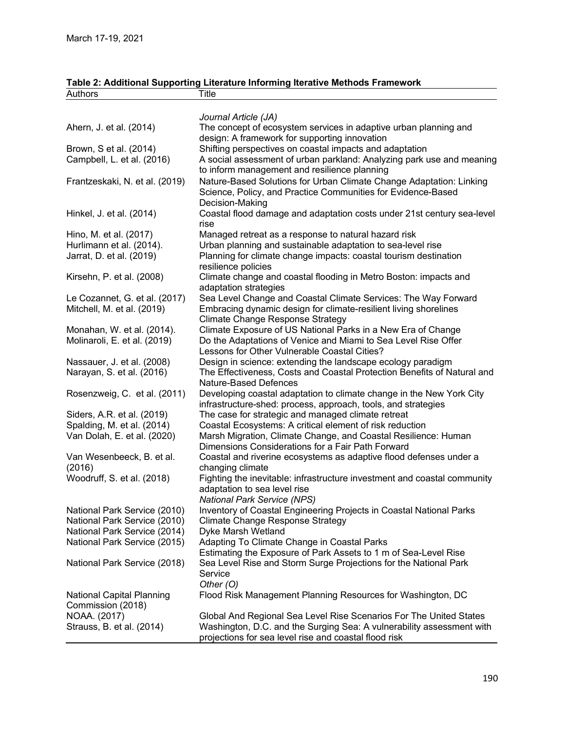# Table 2: Additional Supporting Literature Informing Iterative Methods Framework

| March 17-19, 2021                                            |                                                                                                                                                                 |
|--------------------------------------------------------------|-----------------------------------------------------------------------------------------------------------------------------------------------------------------|
|                                                              |                                                                                                                                                                 |
|                                                              |                                                                                                                                                                 |
| Authors                                                      | Table 2: Additional Supporting Literature Informing Iterative Methods Framework<br>Title                                                                        |
|                                                              |                                                                                                                                                                 |
| Ahern, J. et al. (2014)                                      | Journal Article (JA)<br>The concept of ecosystem services in adaptive urban planning and<br>design: A framework for supporting innovation                       |
| Brown, S et al. (2014)<br>Campbell, L. et al. (2016)         | Shifting perspectives on coastal impacts and adaptation<br>A social assessment of urban parkland: Analyzing park use and meaning                                |
| Frantzeskaki, N. et al. (2019)                               | to inform management and resilience planning<br>Nature-Based Solutions for Urban Climate Change Adaptation: Linking                                             |
|                                                              | Science, Policy, and Practice Communities for Evidence-Based<br>Decision-Making                                                                                 |
| Hinkel, J. et al. (2014)                                     | Coastal flood damage and adaptation costs under 21st century sea-level<br>rise                                                                                  |
| Hino, M. et al. (2017)                                       | Managed retreat as a response to natural hazard risk                                                                                                            |
| Hurlimann et al. (2014).<br>Jarrat, D. et al. (2019)         | Urban planning and sustainable adaptation to sea-level rise<br>Planning for climate change impacts: coastal tourism destination                                 |
| Kirsehn, P. et al. (2008)                                    | resilience policies<br>Climate change and coastal flooding in Metro Boston: impacts and<br>adaptation strategies                                                |
| Le Cozannet, G. et al. (2017)<br>Mitchell, M. et al. (2019)  | Sea Level Change and Coastal Climate Services: The Way Forward<br>Embracing dynamic design for climate-resilient living shorelines                              |
| Monahan, W. et al. (2014).                                   | <b>Climate Change Response Strategy</b><br>Climate Exposure of US National Parks in a New Era of Change                                                         |
| Molinaroli, E. et al. (2019)                                 | Do the Adaptations of Venice and Miami to Sea Level Rise Offer<br>Lessons for Other Vulnerable Coastal Cities?                                                  |
| Nassauer, J. et al. (2008)<br>Narayan, S. et al. (2016)      | Design in science: extending the landscape ecology paradigm<br>The Effectiveness, Costs and Coastal Protection Benefits of Natural and<br>Nature-Based Defences |
| Rosenzweig, C. et al. (2011)                                 | Developing coastal adaptation to climate change in the New York City<br>infrastructure-shed: process, approach, tools, and strategies                           |
| Siders, A.R. et al. (2019)                                   | The case for strategic and managed climate retreat                                                                                                              |
| Spalding, M. et al. (2014)<br>Van Dolah, E. et al. (2020)    | Coastal Ecosystems: A critical element of risk reduction<br>Marsh Migration, Climate Change, and Coastal Resilience: Human                                      |
| Van Wesenbeeck, B. et al.                                    | Dimensions Considerations for a Fair Path Forward<br>Coastal and riverine ecosystems as adaptive flood defenses under a                                         |
| (2016)                                                       | changing climate                                                                                                                                                |
| Woodruff, S. et al. (2018)                                   | Fighting the inevitable: infrastructure investment and coastal community<br>adaptation to sea level rise<br><b>National Park Service (NPS)</b>                  |
| National Park Service (2010)                                 | Inventory of Coastal Engineering Projects in Coastal National Parks                                                                                             |
| National Park Service (2010)                                 | <b>Climate Change Response Strategy</b>                                                                                                                         |
| National Park Service (2014)<br>National Park Service (2015) | Dyke Marsh Wetland<br>Adapting To Climate Change in Coastal Parks                                                                                               |
|                                                              | Estimating the Exposure of Park Assets to 1 m of Sea-Level Rise                                                                                                 |
| National Park Service (2018)                                 | Sea Level Rise and Storm Surge Projections for the National Park<br>Service                                                                                     |
| <b>National Capital Planning</b><br>Commission (2018)        | Other $(O)$<br>Flood Risk Management Planning Resources for Washington, DC                                                                                      |
| NOAA. (2017)                                                 | Global And Regional Sea Level Rise Scenarios For The United States                                                                                              |
| Strauss, B. et al. (2014)                                    | Washington, D.C. and the Surging Sea: A vulnerability assessment with<br>projections for sea level rise and coastal flood risk                                  |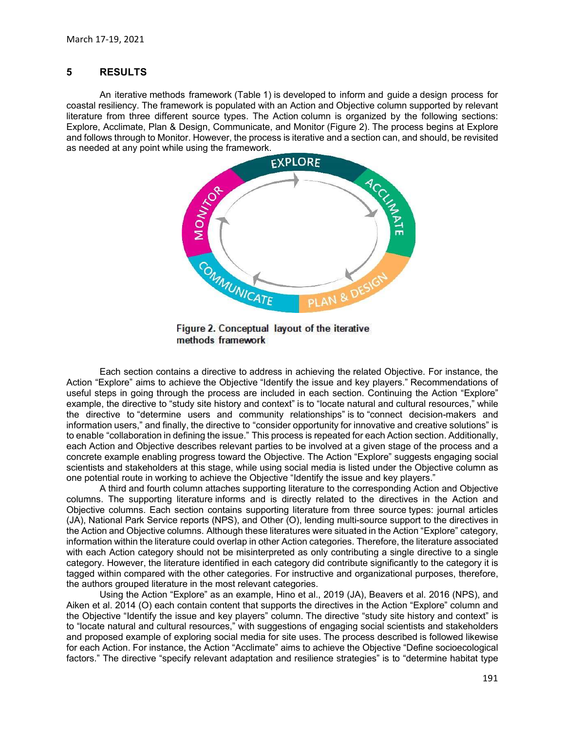March 17-19, 2021<br> **RESULTS**<br>
An iterative methods framework (Table 1) is developed to inform and guid<br>
coastal resiliency. The framework is populated with an Action and Objective colum<br>
literature from three different sou 7-19, 2021<br>
RESULTS<br>
An iterative methods framework (Table 1) is developed to inform and guide a design process for<br>
resiliency. The framework is populated with an Action and Objective column supported by relevant<br>
Action March 17-19, 2021<br> **COCAST AND ENTIGENT AND ENTIGENT AND ACT AND ACT AND ACT AND ACT AND ACT AND ACT AND ACT AND ACT AND ACT AND ACT AND ACT AND ACT AND ACT AND ACT AND ACT AND ACT AND A CHEVANT AND ACT AND A Design, Commu** March 17-19, 2021<br> **RESULTS**<br>
An iterative methods framework (Table 1) is developed to inform and guide a design process for<br>
coastal resiliency. The framework is populated with an Action column is organized by the followi March 17-19, 2021<br>
S<br> **EXPLORE**<br>
An iterative methods framework (Table 1) is developed to inform and guide a design process for<br>
coastal resiliency. The framework is populated with an Action and Objective column supported and follows through to Monitor. However, the process is iterative and a section can, and should, be revisited March 17-19, 2021<br> **An iterative methods framework (Table 1) is developed to inform and guide a design process<br>
coastal resiliency. The framework is populated with an Action and Objective column supported by releve<br>
litera** 



useful steps in going through the process are included in each section. Continuing the Action "Explore" example, the directive to "study site history and context" is to "locate natural and cultural resources," while example, the directive to context and context is to "study site for example, the directive to the study site of the study site of the study site of the study site of the study site of the study site of the study of the rel The directive to the directive to consider operations and community relationships and community relationships and community relationships are in the community relation of the strategy of the set and the connect device of t **EXAMPLE THE SECULAR CONSIDERATION USER CONSIDERATION**<br> **Example 12. Conceptual layout of the iterative energy of the Consider opportunity for the Consider opportunity for the Consider opportunity for the Consider of the C** THE THIS CONDITION IN THE TRANSPORT CONDUCT THE TRANSPORT CONDUCT THE TRANSPORTED THE TRANSPORTED THE TRANSPORTED THE TRANSPORTED THAN A ACTION IN A ACTION THE SERVER THE SERVER TRANSPORT CONDUCT THE TRANSPORT CONDUCT THE Each Action and The methods framework and a Figure 2. Conceptual layout of the iterative methods framework and energy and policing the relative of the controllation and the process and energy to the process and a given in Example the strength of the concrete example and the CAT and the CAT and the CAT and the CAT and the CAT and the CAT and the CAT and the CAT and the CAT and the CAT and the CAT and the CAT and the CAT and the CAT and the scientists and stakeholders at this stage, while using social media is listed under the Objective column as one potential route in working to achieve the Objective "Identify the issue and key players." **Example 19**<br> **Example 19 AN 8 DESCS**<br> **Examplement CALC CONVERGE CONSUMPLE CONSUMPLE TO A REFORMATION CARE CROPIED TO ACCONSUMPLE THE CROPIED TO ACCONSUMPLE THE CROPIED TO ACCONSUMPLE THE CROPIED TO ACCONSUMPLE THE CONSUM EXERCT THE SURFATE THE SURFATE THE SURFATE THE SURFATE THE SURFATE THE SURFATE THE SURFACT THE SURFACT AND THE SURFACT AND THE SURFACT AND THE SURFACT AND THE SURFACT AND THE SURFACT AND THE SURFACT AND THE SURFACT AND T** CATE FIGURE TRIMENT IS USEN ON THE SUPPORT THE SUPPORT THE SUPPORT THE SUPPORT THE SUPPORT THE SUPPORT THE SUPPORT THE SUPPORT THE SUPPORT THE SUPPORT THE SUPPORT THE SUPPORT THE SUPPORT THE SUPPORT THE SUPPORT THE SUPPORT Columns. Each section contains a directive to address in achieving the related Objective. For instance, the methods framework<br>
Action "Explore" aims to achieve the Objective "dentify the issue and key players." Recommenda The Equipment of the iterative methods framework<br>
Figure 2. Conceptual layout of the iterative<br>
methods framework<br>
Action "Explore" aims to achieve the Objective "dentity" the resulted Objective. For instance, the<br>
Action Action "Explore" aims to achieve the Objective "identify the issue and key players." Recommendations of example, the directive to select in going through the process are included in each section. Continuing the Action "Exp

(JA), National Park Service reports (NPS), and Other (O), lending multi-source support to the directives in information within the literature could overlap in other Action categories. Therefore, the literature associated with each Action category should not be misinterpreted as only contributing a single directive to a single category. However, the literature identified in each category did contribute significantly to the category it is tagged within compared with the other categories. For instructive and organizational purposes, therefore, the authors grouped literature in the most relevant categories. example, the directive to "study site history and context" is to "locate natural and cultural resources," while<br>the directive to "study site history and contentinty relationships" is to "connect decision-makers and<br>thermat the directive to "determine users and "community relationships" is to "connect decision-makers and formation users," and finely the directive to "consider opportunity for innovative and coating between the Action and Objec

Using the Action "Explore" as an example, Hino et al., 2019 (JA), Beavers et al. 2016 (NPS), and Aiken et al. 2014 (O) each contain content that supports the directives in the Action "Explore" column and to "locate natural and cultural resources," with suggestions of engaging social scientists and stakeholders and proposed example of exploring social media for site uses. The process described is followed likewise factors." The directive "specify relevant adaptation and resilience strategies" is to "determine habitat type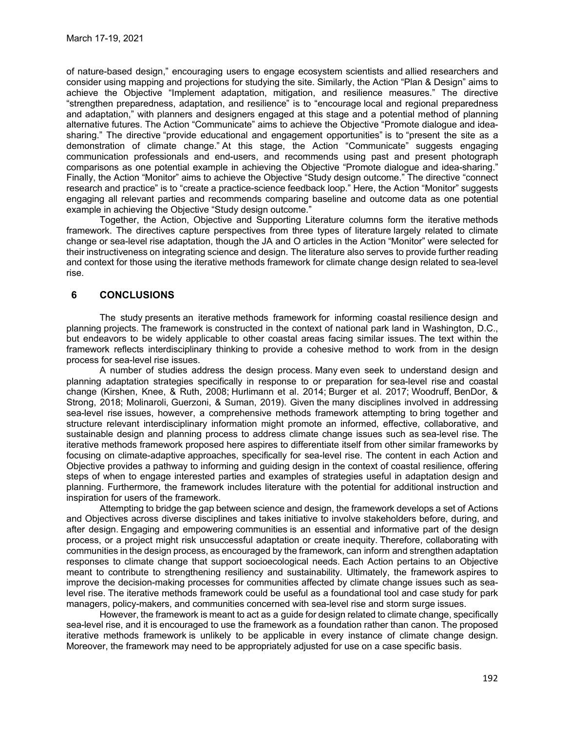of nature-based design," encouraging users to engage ecosystem scientists and allied researchers and consider using mapping and projections for studying the site. Similarly, the Action "Plan & Design" aims to achieve the Objective "Implement adaptation, mitigation, and resilience measures." The directive "strengthen preparedness, adaptation, and resilience" is to "encourage local and regional preparedness and adaptation," with planners and designers engaged at this stage and a potential method of planning alternative futures. The Action "Communicate" aims to achieve the Objective "Promote dialogue and ideasharing." The directive "provide educational and engagement opportunities" is to "present the site as a demonstration of climate change." At this stage, the Action "Communicate" suggests engaging communication professionals and end-users, and recommends using past and present photograph comparisons as one potential example in achieving the Objective "Promote dialogue and idea-sharing." Finally, the Action "Monitor" aims to achieve the Objective "Study design outcome." The directive "connect research and practice" is to "create a practice-science feedback loop." Here, the Action "Monitor" suggests engaging all relevant parties and recommends comparing baseline and outcome data as one potential example in achieving the Objective "Study design outcome." 7-19, 2021<br>
a-based design," encouraging users to engage ecosystem scientists and allied researchers and<br>
the Objective "Implement adaptation, mildgation, and resilience ameasures." The directive<br>
the Depicture Theoretical

framework. The directives capture perspectives from three types of literature largely related to climate change or sea-level rise adaptation, though the JA and O articles in the Action "Monitor" were selected for their instructiveness on integrating science and design. The literature also serves to provide further reading and context for those using the iterative methods framework for climate change design related to sea-level rise.

## 6 CONCLUSIONS

The study presents an iterative methods framework for informing coastal resilience design and planning projects. The framework is constructed in the context of national park land in Washington, D.C., but endeavors to be widely applicable to other coastal areas facing similar issues. The text within the framework reflects interdisciplinary thinking to provide a cohesive method to work from in the design process for sea-level rise issues.

A number of studies address the design process. Many even seek to understand design and planning adaptation strategies specifically in response to or preparation for sea-level rise and coastal change (Kirshen, Knee, & Ruth, 2008; Hurlimann et al. 2014; Burger et al. 2017; Woodruff, BenDor, & Strong, 2018; Molinaroli, Guerzoni, & Suman, 2019). Given the many disciplines involved in addressing sea-level rise issues, however, a comprehensive methods framework attempting to bring together and structure relevant interdisciplinary information might promote an informed, effective, collaborative, and sustainable design and planning process to address climate change issues such as sea-level rise. The iterative methods framework proposed here aspires to differentiate itself from other similar frameworks by focusing on climate-adaptive approaches, specifically for sea-level rise. The content in each Action and Objective provides a pathway to informing and guiding design in the context of coastal resilience, offering steps of when to engage interested parties and examples of strategies useful in adaptation design and planning. Furthermore, the framework includes literature with the potential for additional instruction and inspiration for users of the framework.

Attempting to bridge the gap between science and design, the framework develops a set of Actions and Objectives across diverse disciplines and takes initiative to involve stakeholders before, during, and after design. Engaging and empowering communities is an essential and informative part of the design process, or a project might risk unsuccessful adaptation or create inequity. Therefore, collaborating with communities in the design process, as encouraged by the framework, can inform and strengthen adaptation responses to climate change that support socioecological needs. Each Action pertains to an Objective meant to contribute to strengthening resiliency and sustainability. Ultimately, the framework aspires to improve the decision-making processes for communities affected by climate change issues such as sealevel rise. The iterative methods framework could be useful as a foundational tool and case study for park managers, policy-makers, and communities concerned with sea-level rise and storm surge issues.

However, the framework is meant to act as a guide for design related to climate change, specifically sea-level rise, and it is encouraged to use the framework as a foundation rather than canon. The proposed iterative methods framework is unlikely to be applicable in every instance of climate change design. Moreover, the framework may need to be appropriately adjusted for use on a case specific basis.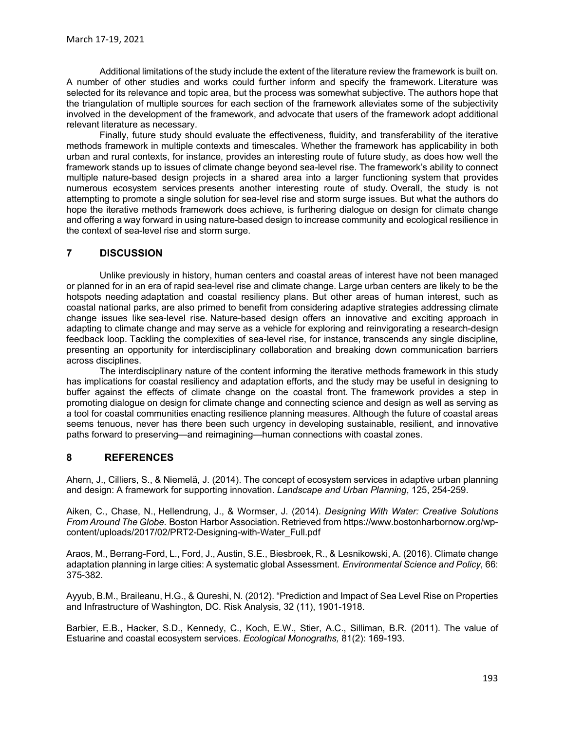Additional limitations of the study include the extent of the literature review the framework is built on. A number of other studies and works could further inform and specify the framework. Literature was selected for its relevance and topic area, but the process was somewhat subjective. The authors hope that the triangulation of multiple sources for each section of the framework alleviates some of the subjectivity involved in the development of the framework, and advocate that users of the framework adopt additional relevant literature as necessary.

Finally, future study should evaluate the effectiveness, fluidity, and transferability of the iterative methods framework in multiple contexts and timescales. Whether the framework has applicability in both urban and rural contexts, for instance, provides an interesting route of future study, as does how well the framework stands up to issues of climate change beyond sea-level rise. The framework's ability to connect multiple nature-based design projects in a shared area into a larger functioning system that provides numerous ecosystem services presents another interesting route of study. Overall, the study is not attempting to promote a single solution for sea-level rise and storm surge issues. But what the authors do hope the iterative methods framework does achieve, is furthering dialogue on design for climate change and offering a way forward in using nature-based design to increase community and ecological resilience in the context of sea-level rise and storm surge. March 17-19, 2021<br>
Additional limitations of the study include the extent of the literature review the number of other studies and works could further inform and specify the framework selected for its relevance and topic a

Unlike previously in history, human centers and coastal areas of interest have not been managed or planned for in an era of rapid sea-level rise and climate change. Large urban centers are likely to be the hotspots needing adaptation and coastal resiliency plans. But other areas of human interest, such as coastal national parks, are also primed to benefit from considering adaptive strategies addressing climate change issues like sea-level rise. Nature-based design offers an innovative and exciting approach in adapting to climate change and may serve as a vehicle for exploring and reinvigorating a research-design feedback loop. Tackling the complexities of sea-level rise, for instance, transcends any single discipline, presenting an opportunity for interdisciplinary collaboration and breaking down communication barriers across disciplines.

The interdisciplinary nature of the content informing the iterative methods framework in this study has implications for coastal resiliency and adaptation efforts, and the study may be useful in designing to buffer against the effects of climate change on the coastal front. The framework provides a step in promoting dialogue on design for climate change and connecting science and design as well as serving as a tool for coastal communities enacting resilience planning measures. Although the future of coastal areas seems tenuous, never has there been such urgency in developing sustainable, resilient, and innovative paths forward to preserving—and reimagining—human connections with coastal zones.

#### 8 REFERENCES

Ahern, J., Cilliers, S., & Niemelä, J. (2014). The concept of ecosystem services in adaptive urban planning and design: A framework for supporting innovation. Landscape and Urban Planning, 125, 254-259.

Aiken, C., Chase, N., Hellendrung, J., & Wormser, J. (2014). Designing With Water: Creative Solutions From Around The Globe. Boston Harbor Association. Retrieved from https://www.bostonharbornow.org/wpcontent/uploads/2017/02/PRT2-Designing-with-Water\_Full.pdf

Araos, M., Berrang-Ford, L., Ford, J., Austin, S.E., Biesbroek, R., & Lesnikowski, A. (2016). Climate change adaptation planning in large cities: A systematic global Assessment. Environmental Science and Policy, 66: 375-382.

Ayyub, B.M., Braileanu, H.G., & Qureshi, N. (2012). "Prediction and Impact of Sea Level Rise on Properties and Infrastructure of Washington, DC. Risk Analysis, 32 (11), 1901-1918.

Barbier, E.B., Hacker, S.D., Kennedy, C., Koch, E.W., Stier, A.C., Silliman, B.R. (2011). The value of Estuarine and coastal ecosystem services. Ecological Monograths, 81(2): 169-193.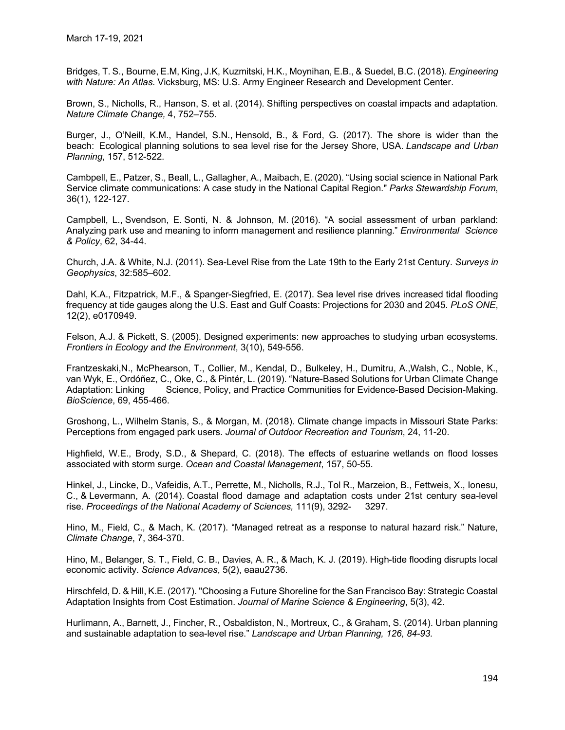Bridges, T. S., Bourne, E.M, King, J.K, Kuzmitski, H.K., Moynihan, E.B., & Suedel, B.C. (2018). Engineering with Nature: An Atlas. Vicksburg, MS: U.S. Army Engineer Research and Development Center.

Brown, S., Nicholls, R., Hanson, S. et al. (2014). Shifting perspectives on coastal impacts and adaptation. Nature Climate Change, 4, 752–755.

Burger, J., O'Neill, K.M., Handel, S.N., Hensold, B., & Ford, G. (2017). The shore is wider than the beach: Ecological planning solutions to sea level rise for the Jersey Shore, USA. Landscape and Urban Planning, 157, 512-522.

Cambpell, E., Patzer, S., Beall, L., Gallagher, A., Maibach, E. (2020). "Using social science in National Park Service climate communications: A case study in the National Capital Region." Parks Stewardship Forum, 36(1), 122-127.

Campbell, L., Svendson, E. Sonti, N. & Johnson, M. (2016). "A social assessment of urban parkland: Analyzing park use and meaning to inform management and resilience planning." *Environmental Science* & Policy, 62, 34-44.

Church, J.A. & White, N.J. (2011). Sea-Level Rise from the Late 19th to the Early 21st Century. Surveys in Geophysics, 32:585–602.

Dahl, K.A., Fitzpatrick, M.F., & Spanger-Siegfried, E. (2017). Sea level rise drives increased tidal flooding frequency at tide gauges along the U.S. East and Gulf Coasts: Projections for 2030 and 2045. *PLoS ONE*, 12(2), e0170949.

Felson, A.J. & Pickett, S. (2005). Designed experiments: new approaches to studying urban ecosystems. Frontiers in Ecology and the Environment, 3(10), 549-556.

Frantzeskaki,N., McPhearson, T., Collier, M., Kendal, D., Bulkeley, H., Dumitru, A.,Walsh, C., Noble, K., van Wyk, E., Ordóñez, C., Oke, C., & Pintér, L. (2019). "Nature-Based Solutions for Urban Climate Change Adaptation: Linking Science, Policy, and Practice Communities for Evidence-Based Decision-Making. BioScience, 69, 455-466.

Groshong, L., Wilhelm Stanis, S., & Morgan, M. (2018). Climate change impacts in Missouri State Parks: Perceptions from engaged park users. Journal of Outdoor Recreation and Tourism, 24, 11-20.

Highfield, W.E., Brody, S.D., & Shepard, C. (2018). The effects of estuarine wetlands on flood losses associated with storm surge. Ocean and Coastal Management, 157, 50-55.

Hinkel, J., Lincke, D., Vafeidis, A.T., Perrette, M., Nicholls, R.J., Tol R., Marzeion, B., Fettweis, X., Ionesu, C., & Levermann, A. (2014). Coastal flood damage and adaptation costs under 21st century sea-level rise. Proceedings of the National Academy of Sciences, 111(9), 3292- 3297.

Hino, M., Field, C., & Mach, K. (2017). "Managed retreat as a response to natural hazard risk." Nature, Climate Change, 7, 364-370.

Hino, M., Belanger, S. T., Field, C. B., Davies, A. R., & Mach, K. J. (2019). High-tide flooding disrupts local economic activity. Science Advances, 5(2), eaau2736.

Hirschfeld, D. & Hill, K.E. (2017). "Choosing a Future Shoreline for the San Francisco Bay: Strategic Coastal Adaptation Insights from Cost Estimation. Journal of Marine Science & Engineering, 5(3), 42.

Hurlimann, A., Barnett, J., Fincher, R., Osbaldiston, N., Mortreux, C., & Graham, S. (2014). Urban planning and sustainable adaptation to sea-level rise." Landscape and Urban Planning, 126, 84-93.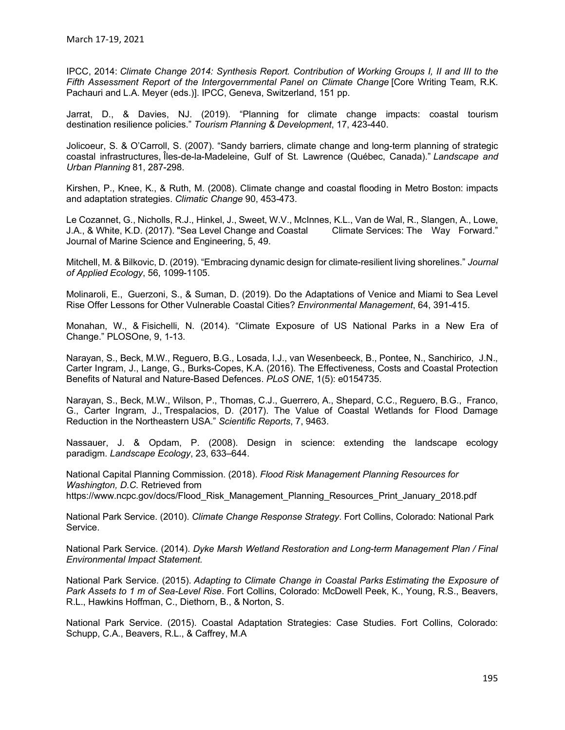IPCC, 2014: Climate Change 2014: Synthesis Report. Contribution of Working Groups I, II and III to the Fifth Assessment Report of the Intergovernmental Panel on Climate Change [Core Writing Team, R.K. Pachauri and L.A. Meyer (eds.)]. IPCC, Geneva, Switzerland, 151 pp.

Jarrat, D., & Davies, NJ. (2019). "Planning for climate change impacts: coastal tourism destination resilience policies." Tourism Planning & Development, 17, 423-440.

Jolicoeur, S. & O'Carroll, S. (2007). "Sandy barriers, climate change and long-term planning of strategic coastal infrastructures, Îles-de-la-Madeleine, Gulf of St. Lawrence (Québec, Canada)." Landscape and Urban Planning 81, 287-298.

Kirshen, P., Knee, K., & Ruth, M. (2008). Climate change and coastal flooding in Metro Boston: impacts and adaptation strategies. Climatic Change 90, 453-473.

Le Cozannet, G., Nicholls, R.J., Hinkel, J., Sweet, W.V., McInnes, K.L., Van de Wal, R., Slangen, A., Lowe, J.A., & White, K.D. (2017). "Sea Level Change and Coastal Climate Services: The Way Forward." Journal of Marine Science and Engineering, 5, 49.

Mitchell, M. & Bilkovic, D. (2019). "Embracing dynamic design for climate-resilient living shorelines." Journal of Applied Ecology, 56, 1099-1105.

Molinaroli, E., Guerzoni, S., & Suman, D. (2019). Do the Adaptations of Venice and Miami to Sea Level Rise Offer Lessons for Other Vulnerable Coastal Cities? Environmental Management, 64, 391-415.

Monahan, W., & Fisichelli, N. (2014). "Climate Exposure of US National Parks in a New Era of Change." PLOSOne, 9, 1-13.

Narayan, S., Beck, M.W., Reguero, B.G., Losada, I.J., van Wesenbeeck, B., Pontee, N., Sanchirico, J.N., Carter Ingram, J., Lange, G., Burks-Copes, K.A. (2016). The Effectiveness, Costs and Coastal Protection Benefits of Natural and Nature-Based Defences. PLoS ONE, 1(5): e0154735.

Narayan, S., Beck, M.W., Wilson, P., Thomas, C.J., Guerrero, A., Shepard, C.C., Reguero, B.G., Franco, G., Carter Ingram, J., Trespalacios, D. (2017). The Value of Coastal Wetlands for Flood Damage Reduction in the Northeastern USA." Scientific Reports, 7, 9463.

Nassauer, J. & Opdam, P. (2008). Design in science: extending the landscape ecology paradigm. Landscape Ecology, 23, 633–644.

National Capital Planning Commission. (2018). Flood Risk Management Planning Resources for Washington, D.C. Retrieved from https://www.ncpc.gov/docs/Flood\_Risk\_Management\_Planning\_Resources\_Print\_January\_2018.pdf

National Park Service. (2010). Climate Change Response Strategy. Fort Collins, Colorado: National Park Service.

National Park Service. (2014). Dyke Marsh Wetland Restoration and Long-term Management Plan / Final

Environmental Impact Statement.<br>National Park Service. (2015). Adapting to Climate Change in Coastal Parks Estimating the Exposure of Park Assets to 1 m of Sea-Level Rise. Fort Collins, Colorado: McDowell Peek, K., Young, R.S., Beavers, R.L., Hawkins Hoffman, C., Diethorn, B., & Norton, S.

National Park Service. (2015). Coastal Adaptation Strategies: Case Studies. Fort Collins, Colorado: Schupp, C.A., Beavers, R.L., & Caffrey, M.A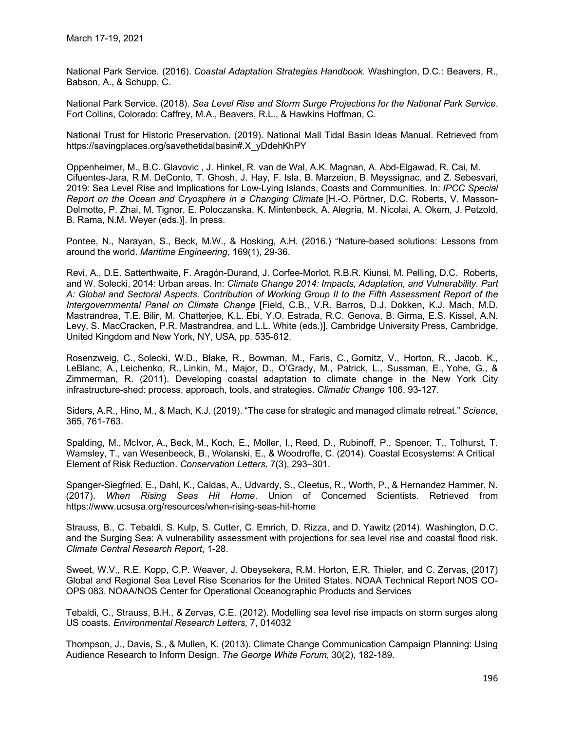National Park Service. (2016). Coastal Adaptation Strategies Handbook. Washington, D.C.: Beavers, R., Babson, A., & Schupp, C.

National Park Service. (2018). Sea Level Rise and Storm Surge Projections for the National Park Service. Fort Collins, Colorado: Caffrey, M.A., Beavers, R.L., & Hawkins Hoffman, C.

National Trust for Historic Preservation. (2019). National Mall Tidal Basin Ideas Manual. Retrieved from https://savingplaces.org/savethetidalbasin#.X\_yDdehKhPY

Oppenheimer, M., B.C. Glavovic , J. Hinkel, R. van de Wal, A.K. Magnan, A. Abd-Elgawad, R. Cai, M. Cifuentes-Jara, R.M. DeConto, T. Ghosh, J. Hay, F. Isla, B. Marzeion, B. Meyssignac, and Z. Sebesvari, 2019: Sea Level Rise and Implications for Low-Lying Islands, Coasts and Communities. In: IPCC Special Report on the Ocean and Cryosphere in a Changing Climate [H.-O. Pörtner, D.C. Roberts, V. Masson-Delmotte, P. Zhai, M. Tignor, E. Poloczanska, K. Mintenbeck, A. Alegría, M. Nicolai, A. Okem, J. Petzold, B. Rama, N.M. Weyer (eds.)]. In press.

Pontee, N., Narayan, S., Beck, M.W., & Hosking, A.H. (2016.) "Nature-based solutions: Lessons from around the world. Maritime Engineering, 169(1), 29-36.

Revi, A., D.E. Satterthwaite, F. Aragón-Durand, J. Corfee-Morlot, R.B.R. Kiunsi, M. Pelling, D.C. Roberts, and W. Solecki, 2014: Urban areas. In: Climate Change 2014: Impacts, Adaptation, and Vulnerability. Part A: Global and Sectoral Aspects. Contribution of Working Group II to the Fifth Assessment Report of the Intergovernmental Panel on Climate Change [Field, C.B., V.R. Barros, D.J. Dokken, K.J. Mach, M.D. Mastrandrea, T.E. Bilir, M. Chatterjee, K.L. Ebi, Y.O. Estrada, R.C. Genova, B. Girma, E.S. Kissel, A.N. Levy, S. MacCracken, P.R. Mastrandrea, and L.L. White (eds.)]. Cambridge University Press, Cambridge, United Kingdom and New York, NY, USA, pp. 535-612.

Rosenzweig, C., Solecki, W.D., Blake, R., Bowman, M., Faris, C., Gornitz, V., Horton, R., Jacob. K., LeBlanc, A., Leichenko, R., Linkin, M., Major, D., O'Grady, M., Patrick, L., Sussman, E., Yohe, G., & Zimmerman, R. (2011). Developing coastal adaptation to climate change in the New York City infrastructure-shed: process, approach, tools, and strategies. Climatic Change 106, 93-127.

Siders, A.R., Hino, M., & Mach, K.J. (2019). "The case for strategic and managed climate retreat." *Science*,<br>365, 761-763.

Spalding, M., McIvor, A., Beck, M., Koch, E., Moller, I., Reed, D., Rubinoff, P., Spencer, T., Tolhurst, T. Wamsley, T., van Wesenbeeck, B., Wolanski, E., & Woodroffe, C. (2014). Coastal Ecosystems: A Critical Element of Risk Reduction. Conservation Letters, 7(3), 293–301.

Spanger-Siegfried, E., Dahl, K., Caldas, A., Udvardy, S., Cleetus, R., Worth, P., & Hernandez Hammer, N. (2017). When Rising Seas Hit Home. Union of Concerned Scientists. Retrieved from https://www.ucsusa.org/resources/when-rising-seas-hit-home

Strauss, B., C. Tebaldi, S. Kulp, S. Cutter, C. Emrich, D. Rizza, and D. Yawitz (2014). Washington, D.C. and the Surging Sea: A vulnerability assessment with projections for sea level rise and coastal flood risk. Climate Central Research Report, 1-28.

Sweet, W.V., R.E. Kopp, C.P. Weaver, J. Obeysekera, R.M. Horton, E.R. Thieler, and C. Zervas, (2017) Global and Regional Sea Level Rise Scenarios for the United States. NOAA Technical Report NOS CO-OPS 083. NOAA/NOS Center for Operational Oceanographic Products and Services

Tebaldi, C., Strauss, B.H., & Zervas, C.E. (2012). Modelling sea level rise impacts on storm surges along US coasts. Environmental Research Letters, 7, 014032

Thompson, J., Davis, S., & Mullen, K. (2013). Climate Change Communication Campaign Planning: Using Audience Research to Inform Design. The George White Forum, 30(2), 182-189.